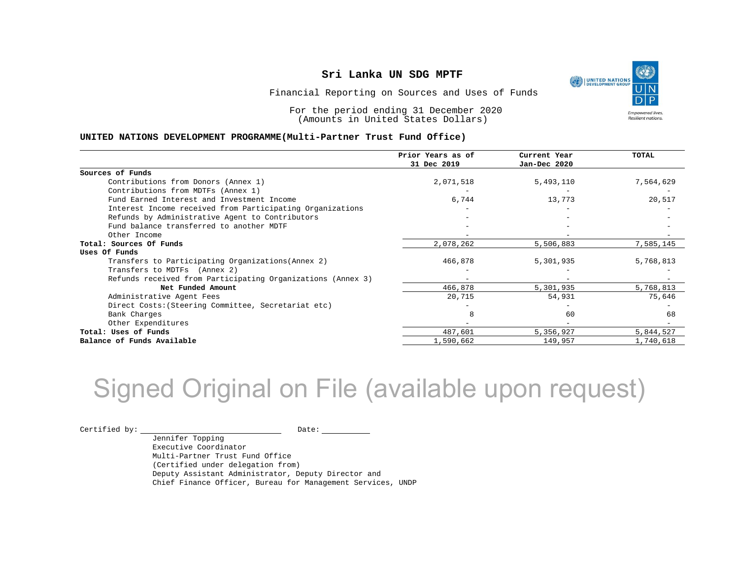٩ UNITED NATIONS **Empowered lives** Empowered nves.<br>Resilient nations.

Financial Reporting on Sources and Uses of Funds

For the period ending 31 December 2020 (Amounts in United States Dollars)

#### **UNITED NATIONS DEVELOPMENT PROGRAMME(Multi-Partner Trust Fund Office)**

|                                                             | Prior Years as of | Current Year | <b>TOTAL</b> |
|-------------------------------------------------------------|-------------------|--------------|--------------|
|                                                             | 31 Dec 2019       | Jan-Dec 2020 |              |
| Sources of Funds                                            |                   |              |              |
| Contributions from Donors (Annex 1)                         | 2,071,518         | 5,493,110    | 7,564,629    |
| Contributions from MDTFs (Annex 1)                          |                   |              |              |
| Fund Earned Interest and Investment Income                  | 6,744             | 13,773       | 20,517       |
| Interest Income received from Participating Organizations   |                   |              |              |
| Refunds by Administrative Agent to Contributors             |                   |              |              |
| Fund balance transferred to another MDTF                    |                   |              |              |
| Other Income                                                |                   |              |              |
| Total: Sources Of Funds                                     | 2,078,262         | 5,506,883    | 7,585,145    |
| Uses Of Funds                                               |                   |              |              |
| Transfers to Participating Organizations (Annex 2)          | 466,878           | 5,301,935    | 5,768,813    |
| Transfers to MDTFs (Annex 2)                                |                   |              |              |
| Refunds received from Participating Organizations (Annex 3) | $-$               |              |              |
| Net Funded Amount                                           | 466,878           | 5,301,935    | 5,768,813    |
| Administrative Agent Fees                                   | 20,715            | 54,931       | 75,646       |
| Direct Costs: (Steering Committee, Secretariat etc)         |                   |              |              |
| Bank Charges                                                | 8                 | 60           | 68           |
| Other Expenditures                                          |                   |              |              |
| Total: Uses of Funds                                        | 487,601           | 5,356,927    | 5,844,527    |
| Balance of Funds Available                                  | 1,590,662         | 149,957      | 1,740,618    |

## Signed Original on File (available upon request)

 $\begin{picture}(180,10) \put(0,0){\vector(1,0){100}} \put(15,0){\vector(1,0){100}} \put(15,0){\vector(1,0){100}} \put(15,0){\vector(1,0){100}} \put(15,0){\vector(1,0){100}} \put(15,0){\vector(1,0){100}} \put(15,0){\vector(1,0){100}} \put(15,0){\vector(1,0){100}} \put(15,0){\vector(1,0){100}} \put(15,0){\vector(1,0){100}} \put(15,0){\vector(1,0){100}}$ 

Jennifer Topping Executive Coordinator Multi-Partner Trust Fund Office (Certified under delegation from) Deputy Assistant Administrator, Deputy Director and Chief Finance Officer, Bureau for Management Services, UNDP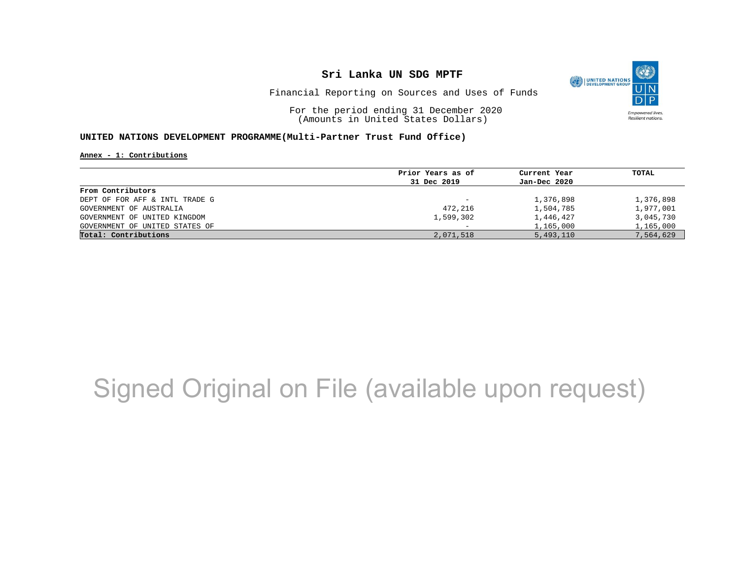

Financial Reporting on Sources and Uses of Funds

For the period ending 31 December 2020 (Amounts in United States Dollars)

#### **UNITED NATIONS DEVELOPMENT PROGRAMME(Multi-Partner Trust Fund Office)**

**Annex - 1: Contributions**

|                                | Prior Years as of        | Current Year | TOTAL     |
|--------------------------------|--------------------------|--------------|-----------|
|                                | 31 Dec 2019              | Jan-Dec 2020 |           |
| From Contributors              |                          |              |           |
| DEPT OF FOR AFF & INTL TRADE G | $\overline{\phantom{0}}$ | 1,376,898    | 1,376,898 |
| GOVERNMENT OF AUSTRALIA        | 472,216                  | 1,504,785    | 1,977,001 |
| GOVERNMENT OF UNITED KINGDOM   | 1,599,302                | 1,446,427    | 3,045,730 |
| GOVERNMENT OF UNITED STATES OF |                          | 1,165,000    | 1,165,000 |
| Total: Contributions           | 2,071,518                | 5,493,110    | 7,564,629 |
|                                |                          |              |           |

## Signed Original on File (available upon request)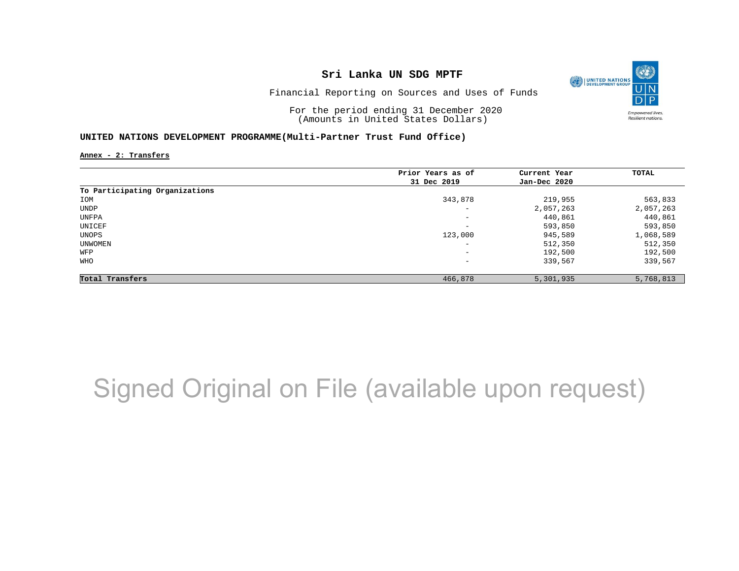

Financial Reporting on Sources and Uses of Funds

For the period ending 31 December 2020 (Amounts in United States Dollars)

#### **UNITED NATIONS DEVELOPMENT PROGRAMME(Multi-Partner Trust Fund Office)**

**Annex - 2: Transfers**

|                                | Prior Years as of            | Current Year | TOTAL     |
|--------------------------------|------------------------------|--------------|-----------|
|                                | 31 Dec 2019                  | Jan-Dec 2020 |           |
| To Participating Organizations |                              |              |           |
| IOM                            | 343,878                      | 219,955      | 563,833   |
| UNDP                           | $\overline{\phantom{0}}$     | 2,057,263    | 2,057,263 |
| UNFPA                          | $-$                          | 440,861      | 440,861   |
| UNICEF                         | $\qquad \qquad \blacksquare$ | 593,850      | 593,850   |
| UNOPS                          | 123,000                      | 945,589      | 1,068,589 |
| UNWOMEN                        | $\qquad \qquad \blacksquare$ | 512,350      | 512,350   |
| WFP                            | $\qquad \qquad \blacksquare$ | 192,500      | 192,500   |
| WHO                            | -                            | 339,567      | 339,567   |
| Total Transfers                | 466,878                      | 5,301,935    | 5,768,813 |

## Signed Original on File (available upon request)